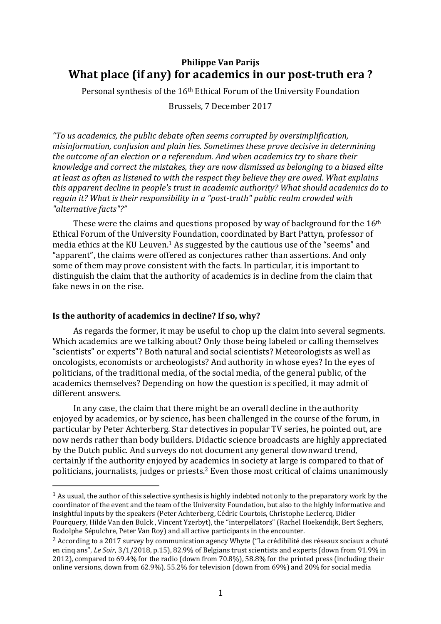## **Philippe Van Parijs What place (if any) for academics in our post-truth era ?**

Personal synthesis of the 16th Ethical Forum of the University Foundation

Brussels, 7 December 2017

*"To us academics, the public debate often seems corrupted by oversimplification, misinformation, confusion and plain lies. Sometimes these prove decisive in determining the outcome of an election or a referendum. And when academics try to share their knowledge and correct the mistakes, they are now dismissed as belonging to a biased elite at least as often as listened to with the respect they believe they are owed. What explains this apparent decline in people's trust in academic authority? What should academics do to regain it? What is their responsibility in a "post-truth" public realm crowded with "alternative facts"?"*

These were the claims and questions proposed by way of background for the 16<sup>th</sup> Ethical Forum of the University Foundation, coordinated by Bart Pattyn, professor of media ethics at the KU Leuven. <sup>1</sup> As suggested by the cautious use of the "seems" and "apparent", the claims were offered as conjectures rather than assertions. And only some of them may prove consistent with the facts. In particular, it is important to distinguish the claim that the authority of academics is in decline from the claim that fake news in on the rise.

## **Is the authority of academics in decline? If so, why?**

<u>.</u>

As regards the former, it may be useful to chop up the claim into several segments. Which academics are we talking about? Only those being labeled or calling themselves "scientists" or experts"? Both natural and social scientists? Meteorologists as well as oncologists, economists or archeologists? And authority in whose eyes? In the eyes of politicians, of the traditional media, of the social media, of the general public, of the academics themselves? Depending on how the question is specified, it may admit of different answers.

In any case, the claim that there might be an overall decline in the authority enjoyed by academics, or by science, has been challenged in the course of the forum, in particular by Peter Achterberg. Star detectives in popular TV series, he pointed out, are now nerds rather than body builders. Didactic science broadcasts are highly appreciated by the Dutch public. And surveys do not document any general downward trend, certainly if the authority enjoyed by academics in society at large is compared to that of politicians, journalists, judges or priests.<sup>2</sup> Even those most critical of claims unanimously

 $1$  As usual, the author of this selective synthesis is highly indebted not only to the preparatory work by the coordinator of the event and the team of the University Foundation, but also to the highly informative and insightful inputs by the speakers (Peter Achterberg, Cédric Courtois, Christophe Leclercq, Didier Pourquery, Hilde Van den Bulck , Vincent Yzerbyt), the "interpellators" (Rachel Hoekendijk, Bert Seghers, Rodolphe Sépulchre, Peter Van Roy) and all active participants in the encounter.

<sup>2</sup> According to a 2017 survey by communication agency Whyte ("La crédibilité des réseaux sociaux a chuté en cinq ans", *Le Soir*, 3/1/2018, p.15), 82.9% of Belgians trust scientists and experts (down from 91.9% in 2012), compared to 69.4% for the radio (down from 70.8%), 58.8% for the printed press (including their online versions, down from 62.9%), 55.2% for television (down from 69%) and 20% for social media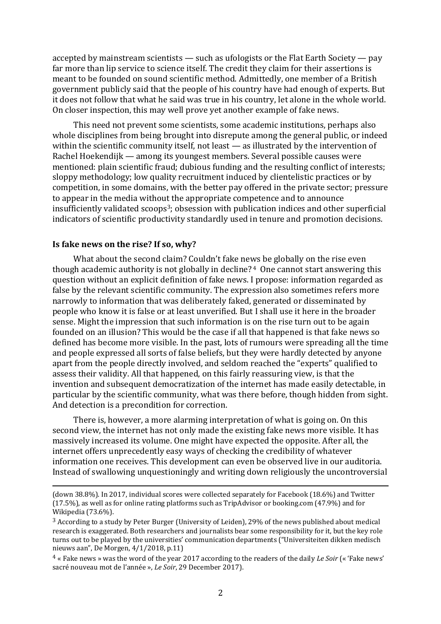accepted by mainstream scientists — such as ufologists or the Flat Earth Society — pay far more than lip service to science itself. The credit they claim for their assertions is meant to be founded on sound scientific method. Admittedly, one member of a British government publicly said that the people of his country have had enough of experts. But it does not follow that what he said was true in his country, let alone in the whole world. On closer inspection, this may well prove yet another example of fake news.

This need not prevent some scientists, some academic institutions, perhaps also whole disciplines from being brought into disrepute among the general public, or indeed within the scientific community itself, not least — as illustrated by the intervention of Rachel Hoekendijk — among its youngest members. Several possible causes were mentioned: plain scientific fraud; dubious funding and the resulting conflict of interests; sloppy methodology; low quality recruitment induced by clientelistic practices or by competition, in some domains, with the better pay offered in the private sector; pressure to appear in the media without the appropriate competence and to announce insufficiently validated scoops<sup>3</sup>; obsession with publication indices and other superficial indicators of scientific productivity standardly used in tenure and promotion decisions.

## **Is fake news on the rise? If so, why?**

<u>.</u>

What about the second claim? Couldn't fake news be globally on the rise even though academic authority is not globally in decline? <sup>4</sup> One cannot start answering this question without an explicit definition of fake news. I propose: information regarded as false by the relevant scientific community. The expression also sometimes refers more narrowly to information that was deliberately faked, generated or disseminated by people who know it is false or at least unverified. But I shall use it here in the broader sense. Might the impression that such information is on the rise turn out to be again founded on an illusion? This would be the case if all that happened is that fake news so defined has become more visible. In the past, lots of rumours were spreading all the time and people expressed all sorts of false beliefs, but they were hardly detected by anyone apart from the people directly involved, and seldom reached the "experts" qualified to assess their validity. All that happened, on this fairly reassuring view, is that the invention and subsequent democratization of the internet has made easily detectable, in particular by the scientific community, what was there before, though hidden from sight. And detection is a precondition for correction.

There is, however, a more alarming interpretation of what is going on. On this second view, the internet has not only made the existing fake news more visible. It has massively increased its volume. One might have expected the opposite. After all, the internet offers unprecedently easy ways of checking the credibility of whatever information one receives. This development can even be observed live in our auditoria. Instead of swallowing unquestioningly and writing down religiously the uncontroversial

<sup>(</sup>down 38.8%). In 2017, individual scores were collected separately for Facebook (18.6%) and Twitter (17.5%), as well as for online rating platforms such as TripAdvisor or booking.com (47.9%) and for Wikipedia (73.6%).

 $3$  According to a study by Peter Burger (University of Leiden), 29% of the news published about medical research is exaggerated. Both researchers and journalists bear some responsibility for it, but the key role turns out to be played by the universities' communication departments ("Universiteiten dikken medisch nieuws aan", De Morgen, 4/1/2018, p.11)

<sup>4</sup> « Fake news » was the word of the year 2017 according to the readers of the daily *Le Soir* (« 'Fake news' sacré nouveau mot de l'année », *Le Soir*, 29 December 2017).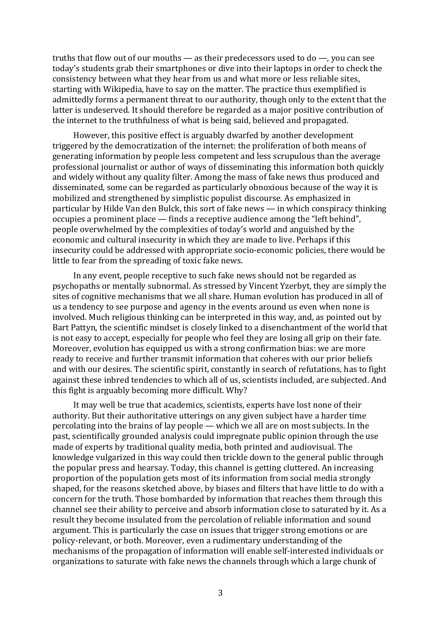truths that flow out of our mouths — as their predecessors used to do —, you can see today's students grab their smartphones or dive into their laptops in order to check the consistency between what they hear from us and what more or less reliable sites, starting with Wikipedia, have to say on the matter. The practice thus exemplified is admittedly forms a permanent threat to our authority, though only to the extent that the latter is undeserved. It should therefore be regarded as a major positive contribution of the internet to the truthfulness of what is being said, believed and propagated.

However, this positive effect is arguably dwarfed by another development triggered by the democratization of the internet: the proliferation of both means of generating information by people less competent and less scrupulous than the average professional journalist or author of ways of disseminating this information both quickly and widely without any quality filter. Among the mass of fake news thus produced and disseminated, some can be regarded as particularly obnoxious because of the way it is mobilized and strengthened by simplistic populist discourse. As emphasized in particular by Hilde Van den Bulck, this sort of fake news — in which conspiracy thinking occupies a prominent place — finds a receptive audience among the "left behind", people overwhelmed by the complexities of today's world and anguished by the economic and cultural insecurity in which they are made to live. Perhaps if this insecurity could be addressed with appropriate socio-economic policies, there would be little to fear from the spreading of toxic fake news.

In any event, people receptive to such fake news should not be regarded as psychopaths or mentally subnormal. As stressed by Vincent Yzerbyt, they are simply the sites of cognitive mechanisms that we all share. Human evolution has produced in all of us a tendency to see purpose and agency in the events around us even when none is involved. Much religious thinking can be interpreted in this way, and, as pointed out by Bart Pattyn, the scientific mindset is closely linked to a disenchantment of the world that is not easy to accept, especially for people who feel they are losing all grip on their fate. Moreover, evolution has equipped us with a strong confirmation bias: we are more ready to receive and further transmit information that coheres with our prior beliefs and with our desires. The scientific spirit, constantly in search of refutations, has to fight against these inbred tendencies to which all of us, scientists included, are subjected. And this fight is arguably becoming more difficult. Why?

It may well be true that academics, scientists, experts have lost none of their authority. But their authoritative utterings on any given subject have a harder time percolating into the brains of lay people — which we all are on most subjects. In the past, scientifically grounded analysis could impregnate public opinion through the use made of experts by traditional quality media, both printed and audiovisual. The knowledge vulgarized in this way could then trickle down to the general public through the popular press and hearsay. Today, this channel is getting cluttered. An increasing proportion of the population gets most of its information from social media strongly shaped, for the reasons sketched above, by biases and filters that have little to do with a concern for the truth. Those bombarded by information that reaches them through this channel see their ability to perceive and absorb information close to saturated by it. As a result they become insulated from the percolation of reliable information and sound argument. This is particularly the case on issues that trigger strong emotions or are policy-relevant, or both. Moreover, even a rudimentary understanding of the mechanisms of the propagation of information will enable self-interested individuals or organizations to saturate with fake news the channels through which a large chunk of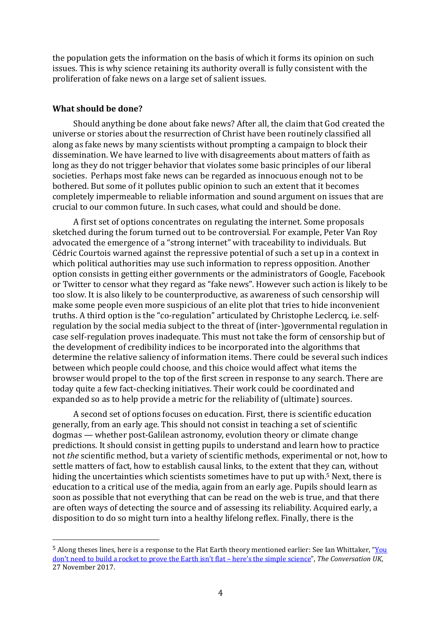the population gets the information on the basis of which it forms its opinion on such issues. This is why science retaining its authority overall is fully consistent with the proliferation of fake news on a large set of salient issues.

## **What should be done?**

<u>.</u>

Should anything be done about fake news? After all, the claim that God created the universe or stories about the resurrection of Christ have been routinely classified all along as fake news by many scientists without prompting a campaign to block their dissemination. We have learned to live with disagreements about matters of faith as long as they do not trigger behavior that violates some basic principles of our liberal societies. Perhaps most fake news can be regarded as innocuous enough not to be bothered. But some of it pollutes public opinion to such an extent that it becomes completely impermeable to reliable information and sound argument on issues that are crucial to our common future. In such cases, what could and should be done.

A first set of options concentrates on regulating the internet. Some proposals sketched during the forum turned out to be controversial. For example, Peter Van Roy advocated the emergence of a "strong internet" with traceability to individuals. But Cédric Courtois warned against the repressive potential of such a set up in a context in which political authorities may use such information to repress opposition. Another option consists in getting either governments or the administrators of Google, Facebook or Twitter to censor what they regard as "fake news". However such action is likely to be too slow. It is also likely to be counterproductive, as awareness of such censorship will make some people even more suspicious of an elite plot that tries to hide inconvenient truths. A third option is the "co-regulation" articulated by Christophe Leclercq, i.e. selfregulation by the social media subject to the threat of (inter-)governmental regulation in case self-regulation proves inadequate. This must not take the form of censorship but of the development of credibility indices to be incorporated into the algorithms that determine the relative saliency of information items. There could be several such indices between which people could choose, and this choice would affect what items the browser would propel to the top of the first screen in response to any search. There are today quite a few fact-checking initiatives. Their work could be coordinated and expanded so as to help provide a metric for the reliability of (ultimate) sources.

A second set of options focuses on education. First, there is scientific education generally, from an early age. This should not consist in teaching a set of scientific dogmas — whether post-Galilean astronomy, evolution theory or climate change predictions. It should consist in getting pupils to understand and learn how to practice not *the* scientific method, but a variety of scientific methods, experimental or not, how to settle matters of fact, how to establish causal links, to the extent that they can, without hiding the uncertainties which scientists sometimes have to put up with.<sup>5</sup> Next, there is education to a critical use of the media, again from an early age. Pupils should learn as soon as possible that not everything that can be read on the web is true, and that there are often ways of detecting the source and of assessing its reliability. Acquired early, a disposition to do so might turn into a healthy lifelong reflex. Finally, there is the

<sup>5</sup> Along theses lines, here is a response to the Flat Earth theory mentioned earlier: See Ian Whittaker, "[You](mailto:https://theconversation.com/you-dont-need-to-build-a-rocket-to-prove-the-earth-isnt-flat-heres-the-simple-science-88106?utm_medium=email&utm_campaign=The%20Weekend%20Conversation%20-%2091277734&utm_content=The%20Weekend%20Conversation%20-%252) don't need to build a rocket to prove the Earth isn't flat – here's the simple [science](mailto:https://theconversation.com/you-dont-need-to-build-a-rocket-to-prove-the-earth-isnt-flat-heres-the-simple-science-88106?utm_medium=email&utm_campaign=The%20Weekend%20Conversation%20-%2091277734&utm_content=The%20Weekend%20Conversation%20-%252)", *The Conversation UK*, 27 November 2017.